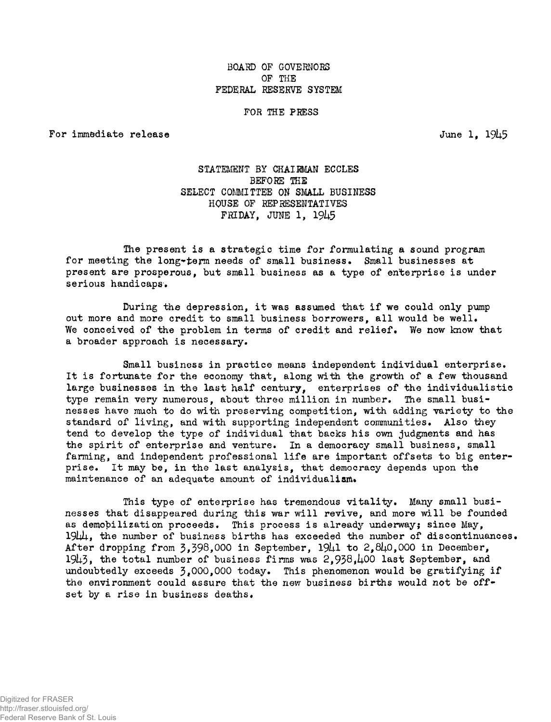# BOARD OF GOVERNORS OF THE FEDERAL RESERVE SYSTEM

#### FOR THE PRESS

For immediate release  $J$ une 1,  $1945$ 

# STATEMENT BY CHAIRMAN ECCLES BEFORE THE SELECT COMMITTEE ON SMALL BUSINESS HOUSE OF REPRESENTATIVES FRIDAY, JUNE 1, 1945

The present is a strategic time for formulating a sound program for meeting the long-term needs of small business. Small businesses at present are prosperous, but small business as a type of enterprise is under serious handicaps.

During the depression, it was assumed that if we could only pump out more and more credit to small business borrowers, all would be well. We conceived of the problem in terms of credit and relief. We now know that a broader approach is necessary.

Small business in practice means independent individual enterprise. It is fortunate for the economy that, along with the growth of a few thousand large businesses in the last half century, enterprises of the individualistic type remain very numerous, about three million in number. The small businesses have much to do with preserving competition, with adding variety to the standard of living, and with supporting independent communities. Also they tend to develop the type of individual that backs his own judgments and has the spirit of enterprise and venture. In a democracy small business, small farming, and independent professional life are important offsets to big enterprise. It may be, in the last analysis, that democracy depends upon the maintenance of an adequate amount of individualism.

This type of enterprise has tremendous vitality. Many small businesses that disappeared during this war will revive, and more will be founded as demobilization proceeds. This process is already underway; since May,  $19\mu$ , the number of business births has exceeded the number of discontinuances. After dropping from  $3.398,000$  in September,  $19\mu$ 1 to  $2.8\mu$ 0.000 in December,  $1943$ , the total number of business firms was  $2,938,100$  last September, and undoubtedly exceeds  $\frac{3}{3}$ ,000,000 today. This phenomenon would be gratifying if the environment could assure that the new business births would not be offset by a rise in business deaths.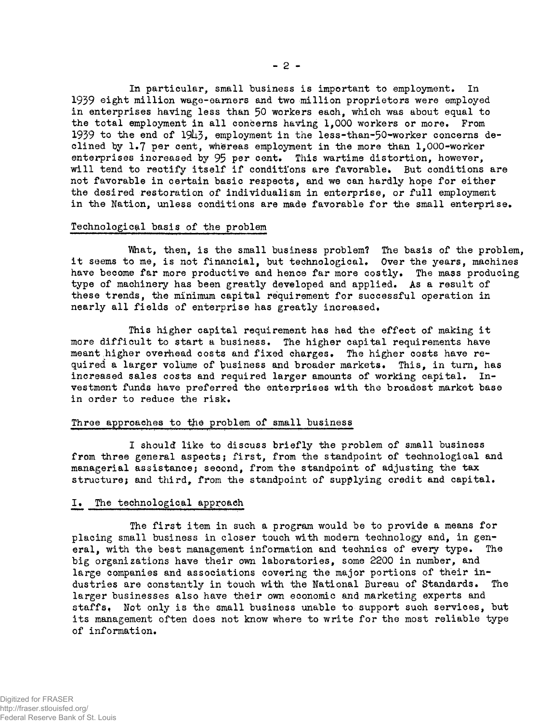In particular, small business is important to employment. In 1939 eight million wage-earners and two million proprietors were employed in enterprises having less than 50 workers each, which was about equal to the total employment in all concerns having 1,000 workers or more. From 1939 to the end of  $19\mu_5$ , employment in the less-than-50-worker concerns declined by 1.7 per cent, whbreas employment in the more than 1,000-worker enterprises increased by 95 per cent. This wartime distortion, however, will tend to rectify itself if conditions are favorable. But conditions are not favorable in certain basic respects, and we can hardly hope for either the desired restoration of individualism in enterprise, or full employment in the Nation, unless conditions are made favorable for the small enterprise.

#### Technological basis of the problem

What, then, is the small business problem? The basis of the problem, it seems to me, is not financial, but technological. Over the years, machines have become far more productive and hence far more costly. The mass producing type of machinery has been greatly developed and applied. As a result of these trends, the minimum capital requirement for successful operation in nearly all fields of enterprise has greatly increased.

This higher capital requirement has had the effect of making it more difficult to start a business. The higher capital requirements have meant higher overhead costs and fixed charges. The higher costs have required a larger volume of business and broader markets. This, in turn, has increased sales costs and required larger amounts of working capital. Investment funds have preferred the enterprises with the broadest market base in order to reduce the risk.

# Three approaches to the problem of small business

I should like to discuss briefly the problem of small business from three general aspects; first, from the standpoint of technological and managerial assistance; second, from the standpoint of adjusting the tax structure; and third, from the standpoint of supplying credit and capital.

## I. The technological approach

The first item in such a program would be to provide a means for placing small business in closer touch with modern technology and, in general, with the best management information and technics of every type. The big organizations have their own laboratories, some 2200 in number, and large companies and associations covering the major portions of their industries are constantly in touch with the National Bureau of Standards. The larger businesses also have their own economic and marketing experts and staffs. Not only is the small business unable to support such services, but its management often does not know where to write for the most reliable type of information.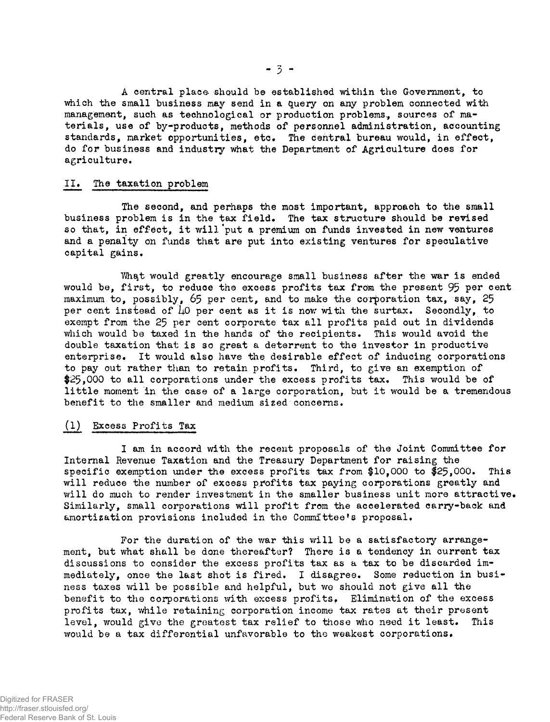A central place should be established within the Government, to which the small business may send in a query on any problem connected with management, such as technological or production problems, sources of materials, use of by-products, methods of personnel administration, accounting standards, market opportunities, etc. The central bureau would, in effect, do for business and industry what the Department of Agriculture does for agriculture.

#### II« The taxation problem

The second, and perhaps the most important, approach to the small business problem is in the tax field. The tax structure should be revised so that, in effect, it will'put a premium on funds invested in new ventures and a penalty on funds that are put into existing ventures for speculative capital gains.

What would greatly encourage small business after the war is ended would be, first, to reduce the excess profits tax from the present 95 per cent maximum to, possibly,  $65$  per cent, and to make the corporation tax, say,  $25$ per cent instead of  $\mu$ 0 per cent as it is now with the surtax. Secondly, to exempt from the 25 per cent corporate tax all profits paid out in dividends which would be taxed in the hands of the recipients. This would avoid the double taxation that is so great a deterrent to the investor in productive enterprise. It would also have the desirable effect of inducing corporations to pay out rather than to retain profits. Third, to give an exemption of \$25,000 to all corporations under the excess profits tax. This would be of little moment in the case of a large corporation, but it would be a tremendous benefit to the smaller and medium sized concerns.

## (1) Excess Profits Tax

I am in accord with the recent proposals of the Joint Committee for Internal Revenue Taxation and the Treasury Department for raising the specific exemption under the excess profits tax from \$10,000 to \$25,000. This will reduce the number of excess profits tax paying corporations greatly and will do much to render investment in the smaller business unit more attractive. Similarly, small corporations will profit from the accelerated carry-back and amortization provisions included in the Committee<sup>1</sup>s proposal.

For the duration of the war this will be a satisfactory arrangement, but what shall be done thereafter? There is a tendency in current tax discussions to consider the excess profits tax as a tax to be discarded immediately, once the last shot is fired. I disagree. Some reduction in business taxes will be possible and helpful, but we should not give all the benefit to the corporations with excess profits. Elimination of the excess profits tax, while retaining corporation income tax rates at their present level, would give the greatest tax relief to those who need it least. This would be a tax differential unfavorable to the weakest corporations.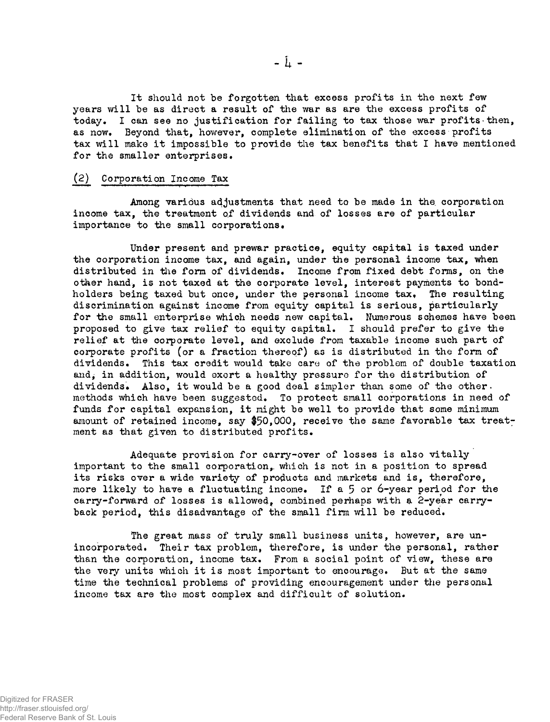It should not be forgotten that excess profits in the next few years will be as direct a result of the war as are the excess profits of today. I can see no justification for failing to tax those war profits then, as now» Beyond that, however, complete elimination of the excess profits tax will make it impossible to provide the tax benefits that I have mentioned for the smaller enterprises.

## (2) Corporation Income Tax

Among various adjustments that need to be made in the corporation income tax, the treatment of dividends and of losses are of particular importance to the small corporations.

Under present and prewar practice, equity capital is taxed under the corporation income tax, and again, under the personal income tax, when distributed in the form of dividends. Income from fixed debt forms, on the other hand, is not taxed at the corporate level, interest payments to bondholders being taxed but once, under the personal income tax. The resulting discrimination against income from equity capital is serious, particularly for the small enterprise which needs new capital. Numerous schemes have been proposed to give tax relief to equity capital. I should prefer to give the relief at the corporate level, and exclude from taxable income such part of corporate profits (or a fraction thereof) as is distributed in the form of dividends. This tax credit would take care of the problem of double taxation and, in addition, would exort a healthy pressure for the distribution of dividends. Also, it would be a good deal simpler than some of the other. methods which have been suggested. To protect small corporations in need of funds for capital expansion, it might be well to provide that some minimum amount of retained income, say  $$50,000$ , receive the same favorable tax treatment as that given to distributed profits.

Adequate provision for carry-over of losses is also vitally important to the small corporation, which is not in a position to spread its risks over a wide variety of products and markets and is, therefore, more likely to have a fluctuating income. If a 5 or 6-year period for the carry-forward of losses is allowed, combined perhaps with a 2-year carryback period, this disadvantage of the small firm will be reduced.

The great mass of truly small business units, however, are unincorporated. Their tax problem, therefore, is under the personal, rather than the corporation, income tax. From a social point of view, these are the very units which it is most important to encourage. But at the same time the technical problems of providing encouragement under the personal income tax are the most complex and difficult of solution.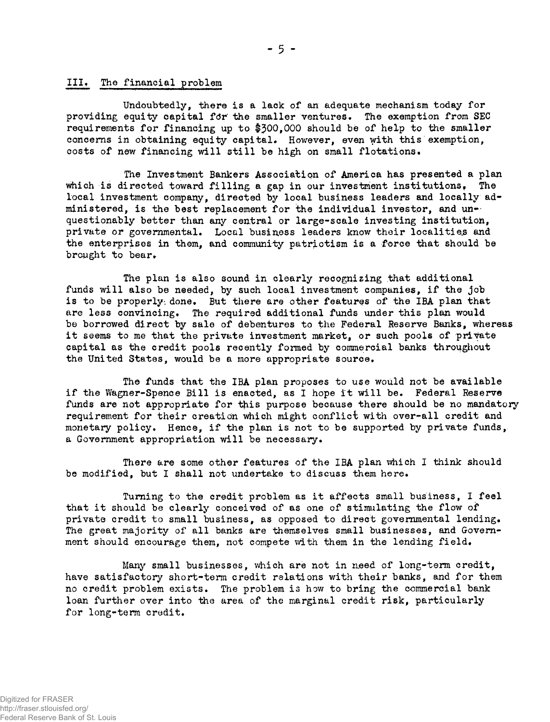## III. The financial problem

Undoubtedly, there is a lack of an adequate mechanism today for providing equity capital for the smaller ventures. The exemption from SEC requirements for financing up to \$500,000 should be of help to the smaller concerns in obtaining equity capital. However, even with this exemption, costs of new financing will still be high on small flotations.

The Investment Bankers Association of America has presented a plan which is directed toward filling a gap in our investment institutions. The local investment company, directed by local business leaders and locally administered, is the best replacement for the individual investor, and  $un$ questionably better than any central or large-scale investing institution, private or governmental. Local business leaders know their localities and the enterprises in them, and community patriotism is a force that should be brought to bear.

The plan is also sound in clearly recognizing that additional funds will also be needed, by such local investment companies, if the job is to be properly done. But there are other features of the IBA plan that are less convincing. The required additional funds under this plan would be borrowed direct by sale of debentures to the Federal Reserve Banks, whereas it seems to me that the private investment market, or such pools of private capital as the credit pools recently formed by commercial banks throughout the United States, would be a more appropriate source.

The funds that the IBA plan proposes to use would not be available if the Wagner-Spence Bill is enacted, as I hope it will be. Federal Reserve funds are not appropriate for this purpose because there should be no mandatory requirement for their creation which might conflict with over-all credit and monetary policy. Hence, if the plan is not to be supported by private funds, a Government appropriation will be necessary.

There are some other features of the IBA plan which I think should be modified, but I shall not undertake to discuss them here.

Turning to the credit problem as it affects small business, I feel that it should be clearly conceived of as one of stimulating the flow of private credit to small business, as opposed to direct governmental lending. The great majority of all banks are themselves small businesses, and Government should encourage them, not compete with them in the lending field.

Many small businesses, which are not in need of long-term credit, have satisfactory short-term credit relations with their banks, and for them no credit problem exists. The problem is how to bring the commercial bank loan further over into the area of the marginal credit risk, particularly for long-term credit.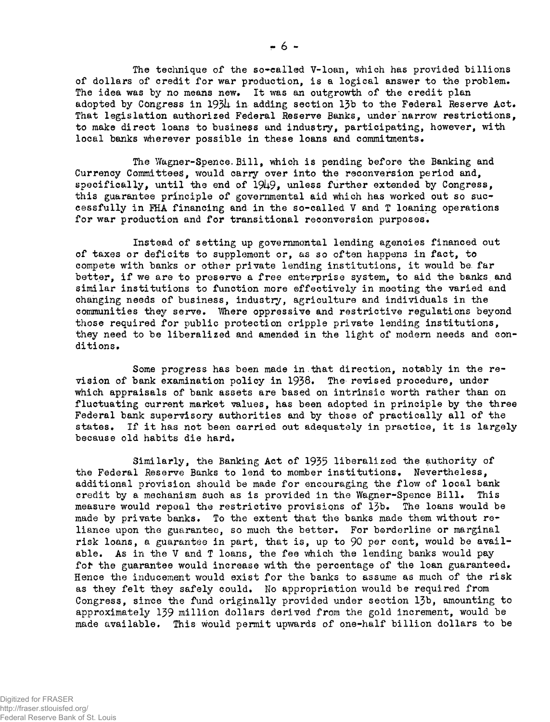The technique of the so-called V-loan, which has provided billions of dollars of credit for war production, is a logical answer to the problem. The idea was by no means new. It was an outgrowth of the credit plan adopted by Congress in *193k* in adding section 13b to the Federal Reserve Act. That legislation authorized Federal Reserve Banks, under narrow restrictions, to make direct loans to business and industry, participating, however, with local banks wherever possible in these loans and commitments.

The Wagner-Spence.Bill, which is pending before the Banking and Currency Committees, would carry over into the reconversion period and, specifically, until the end of 1949, unless further extended by Congress, this guarantee principle of governmental aid which has worked out so successfully in FHA financing and in the so-called V and T loaning operations for war production and for transitional reconversion purposes.

Instead of setting up governmental lending agencies financed out of taxes or deficits to supplement or, as so often happens in fact, to compete with banks or other private lending institutions, it would be far better, if we are to preserve a free enterprise system, to aid the banks and similar institutions to function more effectively in meeting the varied and changing needs of business, industry, agriculture and individuals in the communities they serve. "Where oppressive and restrictive regulations beyond those required for public protection cripple private lending institutions, they need to be liberalized and amended in the light of modern needs and conditions.

Some progress has been made in .that direction, notably in the revision of bank examination policy in 1938. The revised procedure, under which appraisals of bank assets are based on intrinsic worth rather than on fluctuating current market values, has been adopted in principle by the three Federal bank supervisory authorities and by those of practically all of the states. If it has not been carried out adequately in practice, it is largely because old habits die hard.

Similarly, the Banking Act of 1935 liberalized the authority of the Federal Reserve Banks to lend to member institutions. Nevertheless, additional provision should be made for encouraging the flow of Ipcal bank credit by a mechanism such as is provided in the Wagner-Spence Bill. This measure would repeal the restrictive provisions of 13b. The loans would be made by private banks. To the extent that the banks made them without  $r e^*$ liance upon the guarantee, so much the better. For borderline or marginal risk loans, a guarantee in part, that is, up to 90 per cent, would be available. As in the V and T loans, the fee which the lending banks would pay for the guarantee would increase with the percentage of the loan guaranteed. Hence the inducement would exist for the banks to assume as much of the risk as they felt they safely could. No appropriation would be required from Congress, since the fund originally provided under section 13b, amounting to approximately 139 million dollars derived from the gold increment, would be made available. This would permit upwards of one-half billion dollars to be